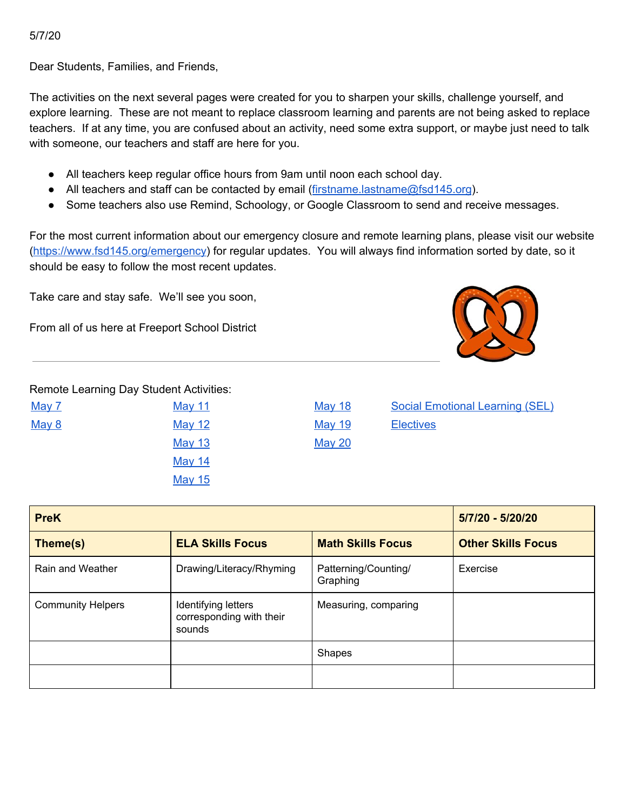5/7/20

Dear Students, Families, and Friends,

The activities on the next several pages were created for you to sharpen your skills, challenge yourself, and explore learning. These are not meant to replace classroom learning and parents are not being asked to replace teachers. If at any time, you are confused about an activity, need some extra support, or maybe just need to talk with someone, our teachers and staff are here for you.

- All teachers keep regular office hours from 9am until noon each school day.
- All teachers and staff can be contacted by email ([firstname.lastname@fsd145.org](mailto:firstname.lastname@fsd145.org)).
- Some teachers also use Remind, Schoology, or Google Classroom to send and receive messages.

For the most current information about our emergency closure and remote learning plans, please visit our website [\(https://www.fsd145.org/emergency\)](https://www.fsd145.org/emergency) for regular updates. You will always find information sorted by date, so it should be easy to follow the most recent updates.

Take care and stay safe. We'll see you soon,

From all of us here at Freeport School District



Remote Learning Day Student Activities:

| <u>May 7</u> |  |
|--------------|--|
| <u>May 8</u> |  |
|              |  |
|              |  |
|              |  |

[May](#page-9-0) 12 May 19 [Electives](#page-12-0) [May](#page-10-0) 13 May 20 [May](#page-6-0) 14 [May](#page-7-0) 15

[May](#page-8-0) 11 May 18 Social Emotional Learning (SEL)

| <b>PreK</b>                         | 5/7/20 - 5/20/20                                          |                                  |                           |
|-------------------------------------|-----------------------------------------------------------|----------------------------------|---------------------------|
| <b>ELA Skills Focus</b><br>Theme(s) |                                                           | <b>Math Skills Focus</b>         | <b>Other Skills Focus</b> |
| Rain and Weather                    | Drawing/Literacy/Rhyming                                  | Patterning/Counting/<br>Graphing | Exercise                  |
| <b>Community Helpers</b>            | Identifying letters<br>corresponding with their<br>sounds | Measuring, comparing             |                           |
|                                     |                                                           | <b>Shapes</b>                    |                           |
|                                     |                                                           |                                  |                           |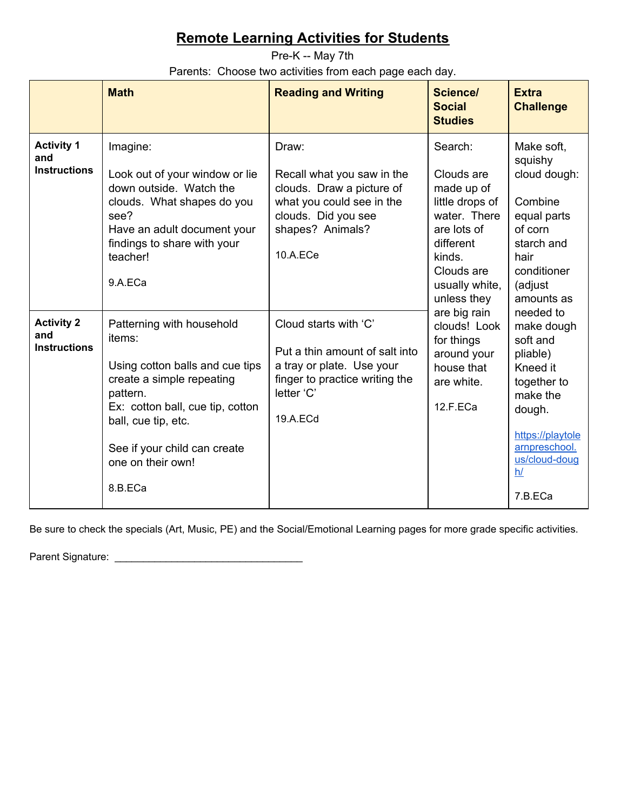<span id="page-1-0"></span>Pre-K -- May 7th Parents: Choose two activities from each page each day.

|                                                 | <b>Math</b>                                                                                                                                                                                                                                | <b>Reading and Writing</b>                                                                                                                           | Science/<br><b>Social</b><br><b>Studies</b>                                                                                                                                                                                                                      | <b>Extra</b><br><b>Challenge</b>                                                                                                                                        |
|-------------------------------------------------|--------------------------------------------------------------------------------------------------------------------------------------------------------------------------------------------------------------------------------------------|------------------------------------------------------------------------------------------------------------------------------------------------------|------------------------------------------------------------------------------------------------------------------------------------------------------------------------------------------------------------------------------------------------------------------|-------------------------------------------------------------------------------------------------------------------------------------------------------------------------|
| <b>Activity 1</b><br>and<br><b>Instructions</b> | Imagine:<br>Look out of your window or lie<br>down outside. Watch the<br>clouds. What shapes do you<br>see?<br>Have an adult document your<br>findings to share with your<br>teacher!<br>9.A.ECa                                           | Draw:<br>Recall what you saw in the<br>clouds. Draw a picture of<br>what you could see in the<br>clouds. Did you see<br>shapes? Animals?<br>10.A.ECe | Search:<br>Clouds are<br>made up of<br>little drops of<br>water. There<br>are lots of<br>different<br>kinds.<br>Clouds are<br>usually white,<br>unless they<br>are big rain<br>clouds! Look<br>for things<br>around your<br>house that<br>are white.<br>12.F.ECa | Make soft.<br>squishy<br>cloud dough:<br>Combine<br>equal parts<br>of corn<br>starch and<br>hair<br>conditioner<br>(adjust<br>amounts as                                |
| <b>Activity 2</b><br>and<br><b>Instructions</b> | Patterning with household<br>items:<br>Using cotton balls and cue tips<br>create a simple repeating<br>pattern.<br>Ex: cotton ball, cue tip, cotton<br>ball, cue tip, etc.<br>See if your child can create<br>one on their own!<br>8.B.ECa | Cloud starts with 'C'<br>Put a thin amount of salt into<br>a tray or plate. Use your<br>finger to practice writing the<br>letter 'C'<br>19.A.ECd     |                                                                                                                                                                                                                                                                  | needed to<br>make dough<br>soft and<br>pliable)<br>Kneed it<br>together to<br>make the<br>dough.<br>https://playtole<br>arnpreschool.<br>us/cloud-doug<br>h/<br>7.B.ECa |

Be sure to check the specials (Art, Music, PE) and the Social/Emotional Learning pages for more grade specific activities.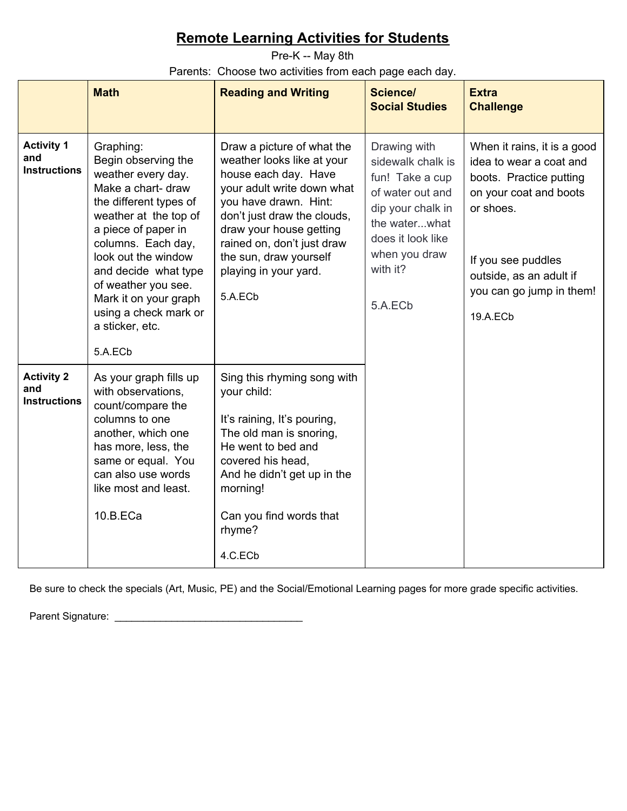<span id="page-2-0"></span>Pre-K -- May 8th Parents: Choose two activities from each page each day.

|                                                 | <b>Math</b>                                                                                                                                                                                                                                                                                                                        | <b>Reading and Writing</b>                                                                                                                                                                                                                                                                    | <b>Science/</b><br><b>Social Studies</b>                                                                                                                                    | <b>Extra</b><br><b>Challenge</b>                                                                                                                                                                                  |
|-------------------------------------------------|------------------------------------------------------------------------------------------------------------------------------------------------------------------------------------------------------------------------------------------------------------------------------------------------------------------------------------|-----------------------------------------------------------------------------------------------------------------------------------------------------------------------------------------------------------------------------------------------------------------------------------------------|-----------------------------------------------------------------------------------------------------------------------------------------------------------------------------|-------------------------------------------------------------------------------------------------------------------------------------------------------------------------------------------------------------------|
| <b>Activity 1</b><br>and<br><b>Instructions</b> | Graphing:<br>Begin observing the<br>weather every day.<br>Make a chart- draw<br>the different types of<br>weather at the top of<br>a piece of paper in<br>columns. Each day,<br>look out the window<br>and decide what type<br>of weather you see.<br>Mark it on your graph<br>using a check mark or<br>a sticker, etc.<br>5.A.ECb | Draw a picture of what the<br>weather looks like at your<br>house each day. Have<br>your adult write down what<br>you have drawn. Hint:<br>don't just draw the clouds,<br>draw your house getting<br>rained on, don't just draw<br>the sun, draw yourself<br>playing in your yard.<br>5.A.ECb | Drawing with<br>sidewalk chalk is<br>fun! Take a cup<br>of water out and<br>dip your chalk in<br>the waterwhat<br>does it look like<br>when you draw<br>with it?<br>5.A.ECb | When it rains, it is a good<br>idea to wear a coat and<br>boots. Practice putting<br>on your coat and boots<br>or shoes.<br>If you see puddles<br>outside, as an adult if<br>you can go jump in them!<br>19.A.ECb |
| <b>Activity 2</b><br>and<br><b>Instructions</b> | As your graph fills up<br>with observations,<br>count/compare the<br>columns to one<br>another, which one<br>has more, less, the<br>same or equal. You<br>can also use words<br>like most and least.<br>10.B.ECa                                                                                                                   | Sing this rhyming song with<br>your child:<br>It's raining, It's pouring,<br>The old man is snoring,<br>He went to bed and<br>covered his head,<br>And he didn't get up in the<br>morning!<br>Can you find words that<br>rhyme?<br>4.C.ECb                                                    |                                                                                                                                                                             |                                                                                                                                                                                                                   |

Be sure to check the specials (Art, Music, PE) and the Social/Emotional Learning pages for more grade specific activities.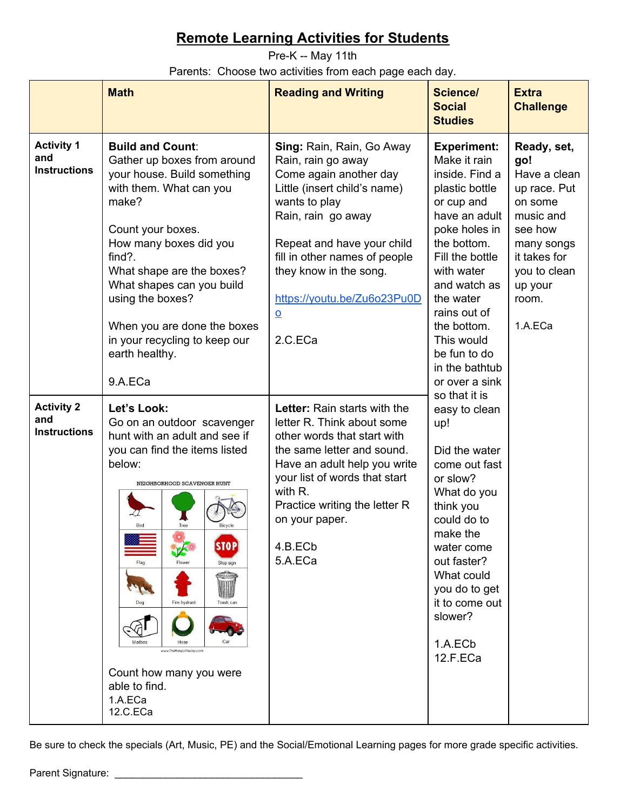<span id="page-3-0"></span>Pre-K -- May 11th Parents: Choose two activities from each page each day.

|                                                 | <b>Math</b>                                                                                                                                                                                                                                                                                                                                                                | <b>Reading and Writing</b>                                                                                                                                                                                                                                                                                             | Science/<br><b>Social</b><br><b>Studies</b>                                                                                                                                                                                                                                        | <b>Extra</b><br><b>Challenge</b>                     |                                                                                                                              |
|-------------------------------------------------|----------------------------------------------------------------------------------------------------------------------------------------------------------------------------------------------------------------------------------------------------------------------------------------------------------------------------------------------------------------------------|------------------------------------------------------------------------------------------------------------------------------------------------------------------------------------------------------------------------------------------------------------------------------------------------------------------------|------------------------------------------------------------------------------------------------------------------------------------------------------------------------------------------------------------------------------------------------------------------------------------|------------------------------------------------------|------------------------------------------------------------------------------------------------------------------------------|
| <b>Activity 1</b><br>and<br><b>Instructions</b> | <b>Build and Count:</b><br>Gather up boxes from around<br>your house. Build something<br>with them. What can you<br>make?<br>Count your boxes.<br>How many boxes did you<br>$find?$ .<br>What shape are the boxes?<br>What shapes can you build<br>using the boxes?<br>When you are done the boxes<br>in your recycling to keep our<br>earth healthy.<br>9.A.ECa           | <b>Sing: Rain, Rain, Go Away</b><br>Rain, rain go away<br>Come again another day<br>Little (insert child's name)<br>wants to play<br>Rain, rain go away<br>Repeat and have your child<br>fill in other names of people<br>they know in the song.<br>https://youtu.be/Zu6o23Pu0D<br>$\underline{\mathsf{o}}$<br>2.C.ECa | <b>Experiment:</b><br>Make it rain<br>inside. Find a<br>plastic bottle<br>or cup and<br>have an adult<br>poke holes in<br>the bottom.<br>Fill the bottle<br>with water<br>and watch as<br>the water<br>rains out of<br>the bottom.<br>This would<br>be fun to do<br>in the bathtub | go!<br>up your<br>room.<br>1.A.ECa<br>or over a sink | Ready, set,<br>Have a clean<br>up race. Put<br>on some<br>music and<br>see how<br>many songs<br>it takes for<br>you to clean |
| <b>Activity 2</b><br>and<br><b>Instructions</b> | Let's Look:<br>Go on an outdoor scavenger<br>hunt with an adult and see if<br>you can find the items listed<br>below:<br>NEIGHBORHOOD SCAVENGER HUNT<br>Bird<br>Tree<br>Bicycle<br><b>STOP</b><br>Flac<br>Stop sign<br>Dog<br>Fire hydrant<br>Trash can<br>Mailbox<br>Hose<br>www.TheMangLiffleJogs.com<br>Count how many you were<br>able to find.<br>1.A.ECa<br>12.C.ECa | Letter: Rain starts with the<br>letter R. Think about some<br>other words that start with<br>the same letter and sound.<br>Have an adult help you write<br>your list of words that start<br>with R.<br>Practice writing the letter R<br>on your paper.<br>4.B.ECb<br>5.A.ECa                                           | so that it is<br>easy to clean<br>up!<br>Did the water<br>come out fast<br>or slow?<br>What do you<br>think you<br>could do to<br>make the<br>water come<br>out faster?<br>What could<br>you do to get<br>it to come out<br>slower?<br>1.A.ECb<br>12.F.ECa                         |                                                      |                                                                                                                              |

Be sure to check the specials (Art, Music, PE) and the Social/Emotional Learning pages for more grade specific activities.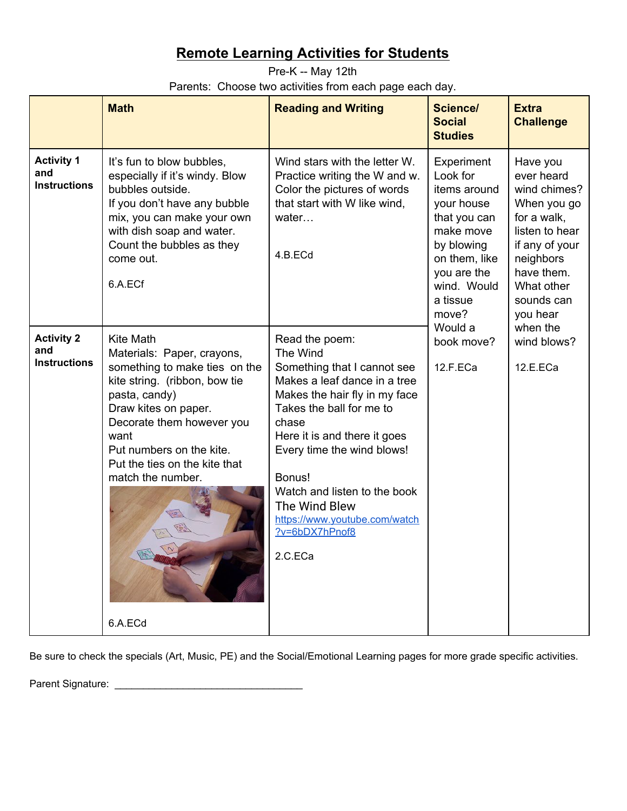<span id="page-4-0"></span>Pre-K -- May 12th Parents: Choose two activities from each page each day.

|                                                 | <b>Math</b>                                                                                                                                                                                                                                                                                 | <b>Reading and Writing</b>                                                                                                                                                                                                                                                                                                                             | <b>Science/</b><br><b>Social</b><br><b>Studies</b>                                                                                                                             | <b>Extra</b><br><b>Challenge</b>                                                                                                                                                        |
|-------------------------------------------------|---------------------------------------------------------------------------------------------------------------------------------------------------------------------------------------------------------------------------------------------------------------------------------------------|--------------------------------------------------------------------------------------------------------------------------------------------------------------------------------------------------------------------------------------------------------------------------------------------------------------------------------------------------------|--------------------------------------------------------------------------------------------------------------------------------------------------------------------------------|-----------------------------------------------------------------------------------------------------------------------------------------------------------------------------------------|
| <b>Activity 1</b><br>and<br><b>Instructions</b> | It's fun to blow bubbles.<br>especially if it's windy. Blow<br>bubbles outside.<br>If you don't have any bubble<br>mix, you can make your own<br>with dish soap and water.<br>Count the bubbles as they<br>come out.<br>6.A.ECf                                                             | Wind stars with the letter W.<br>Practice writing the W and w.<br>Color the pictures of words<br>that start with W like wind,<br>water<br>4.B.ECd                                                                                                                                                                                                      | Experiment<br>Look for<br>items around<br>your house<br>that you can<br>make move<br>by blowing<br>on them, like<br>you are the<br>wind. Would<br>a tissue<br>move?<br>Would a | Have you<br>ever heard<br>wind chimes?<br>When you go<br>for a walk,<br>listen to hear<br>if any of your<br>neighbors<br>have them.<br>What other<br>sounds can<br>you hear<br>when the |
| <b>Activity 2</b><br>and<br><b>Instructions</b> | <b>Kite Math</b><br>Materials: Paper, crayons,<br>something to make ties on the<br>kite string. (ribbon, bow tie<br>pasta, candy)<br>Draw kites on paper.<br>Decorate them however you<br>want<br>Put numbers on the kite.<br>Put the ties on the kite that<br>match the number.<br>6.A.ECd | Read the poem:<br>The Wind<br>Something that I cannot see<br>Makes a leaf dance in a tree<br>Makes the hair fly in my face<br>Takes the ball for me to<br>chase<br>Here it is and there it goes<br>Every time the wind blows!<br>Bonus!<br>Watch and listen to the book<br>The Wind Blew<br>https://www.youtube.com/watch<br>?v=6bDX7hPnof8<br>2.C.ECa | book move?<br>12.F.ECa                                                                                                                                                         | wind blows?<br>12.E.ECa                                                                                                                                                                 |

Be sure to check the specials (Art, Music, PE) and the Social/Emotional Learning pages for more grade specific activities.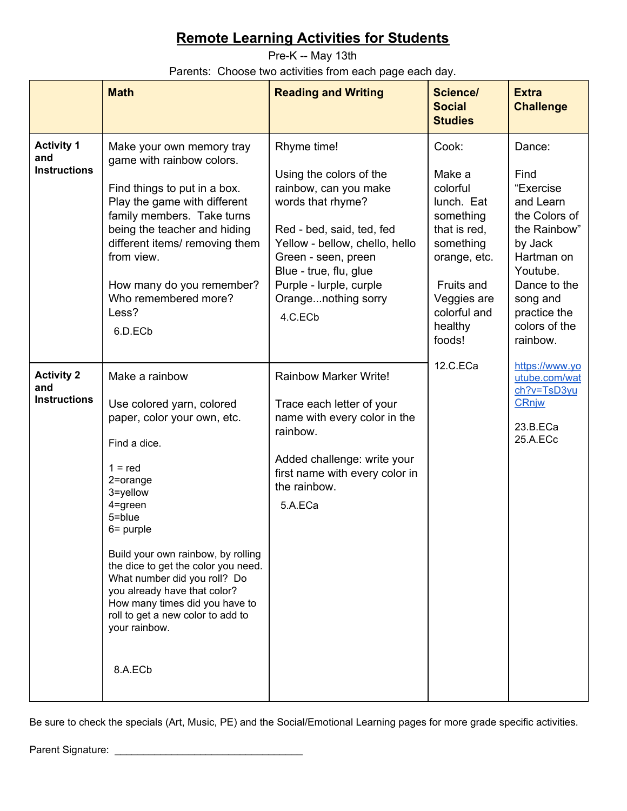<span id="page-5-0"></span>Pre-K -- May 13th Parents: Choose two activities from each page each day.

|                                                 | <b>Math</b>                                                                                                                                                                                                                                                                                                                                                                                                          | <b>Reading and Writing</b>                                                                                                                                                                                                                                        | <b>Science/</b><br><b>Social</b><br><b>Studies</b>                                                                                                                    | <b>Extra</b><br><b>Challenge</b>                                                           |                                                                                                                                                                                         |
|-------------------------------------------------|----------------------------------------------------------------------------------------------------------------------------------------------------------------------------------------------------------------------------------------------------------------------------------------------------------------------------------------------------------------------------------------------------------------------|-------------------------------------------------------------------------------------------------------------------------------------------------------------------------------------------------------------------------------------------------------------------|-----------------------------------------------------------------------------------------------------------------------------------------------------------------------|--------------------------------------------------------------------------------------------|-----------------------------------------------------------------------------------------------------------------------------------------------------------------------------------------|
| <b>Activity 1</b><br>and<br><b>Instructions</b> | Make your own memory tray<br>game with rainbow colors.<br>Find things to put in a box.<br>Play the game with different<br>family members. Take turns<br>being the teacher and hiding<br>different items/ removing them<br>from view.<br>How many do you remember?<br>Who remembered more?<br>Less?<br>6.D.ECb                                                                                                        | Rhyme time!<br>Using the colors of the<br>rainbow, can you make<br>words that rhyme?<br>Red - bed, said, ted, fed<br>Yellow - bellow, chello, hello<br>Green - seen, preen<br>Blue - true, flu, glue<br>Purple - lurple, curple<br>Orangenothing sorry<br>4.C.ECb | Cook:<br>Make a<br>colorful<br>lunch. Eat<br>something<br>that is red,<br>something<br>orange, etc.<br>Fruits and<br>Veggies are<br>colorful and<br>healthy<br>foods! |                                                                                            | Dance:<br>Find<br>"Exercise<br>and Learn<br>the Colors of<br>the Rainbow"<br>by Jack<br>Hartman on<br>Youtube.<br>Dance to the<br>song and<br>practice the<br>colors of the<br>rainbow. |
| <b>Activity 2</b><br>and<br><b>Instructions</b> | Make a rainbow<br>Use colored yarn, colored<br>paper, color your own, etc.<br>Find a dice.<br>$1 = red$<br>2=orange<br>3=yellow<br>4=green<br>5=blue<br>$6 =$ purple<br>Build your own rainbow, by rolling<br>the dice to get the color you need.<br>What number did you roll? Do<br>you already have that color?<br>How many times did you have to<br>roll to get a new color to add to<br>your rainbow.<br>8.A.ECb | <b>Rainbow Marker Write!</b><br>Trace each letter of your<br>name with every color in the<br>rainbow.<br>Added challenge: write your<br>first name with every color in<br>the rainbow.<br>5.A.ECa                                                                 | 12.C.ECa                                                                                                                                                              | https://www.yo<br>utube.com/wat<br>$ch?v = TsD3vu$<br><b>CRnjw</b><br>23.B.ECa<br>25.A.ECc |                                                                                                                                                                                         |

Be sure to check the specials (Art, Music, PE) and the Social/Emotional Learning pages for more grade specific activities.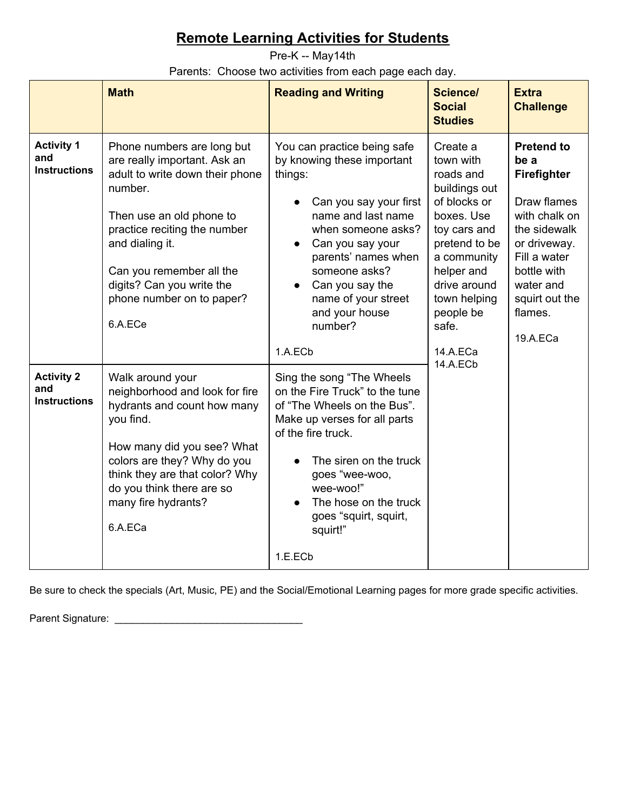<span id="page-6-0"></span>Pre-K -- May14th

Parents: Choose two activities from each page each day.

|                                                 | <b>Math</b>                                                                                                                                                                                                                                                                              | <b>Reading and Writing</b>                                                                                                                                                                                                                                                               | <b>Science/</b><br><b>Social</b><br><b>Studies</b>                                                                                                                                                                            | <b>Extra</b><br><b>Challenge</b>                                                                                                                                                              |
|-------------------------------------------------|------------------------------------------------------------------------------------------------------------------------------------------------------------------------------------------------------------------------------------------------------------------------------------------|------------------------------------------------------------------------------------------------------------------------------------------------------------------------------------------------------------------------------------------------------------------------------------------|-------------------------------------------------------------------------------------------------------------------------------------------------------------------------------------------------------------------------------|-----------------------------------------------------------------------------------------------------------------------------------------------------------------------------------------------|
| <b>Activity 1</b><br>and<br><b>Instructions</b> | Phone numbers are long but<br>are really important. Ask an<br>adult to write down their phone<br>number.<br>Then use an old phone to<br>practice reciting the number<br>and dialing it.<br>Can you remember all the<br>digits? Can you write the<br>phone number on to paper?<br>6.A.ECe | You can practice being safe<br>by knowing these important<br>things:<br>Can you say your first<br>name and last name<br>when someone asks?<br>Can you say your<br>parents' names when<br>someone asks?<br>Can you say the<br>name of your street<br>and your house<br>number?<br>1.A.ECb | Create a<br>town with<br>roads and<br>buildings out<br>of blocks or<br>boxes. Use<br>toy cars and<br>pretend to be<br>a community<br>helper and<br>drive around<br>town helping<br>people be<br>safe.<br>14.A.ECa<br>14.A.ECb | <b>Pretend to</b><br>be a<br>Firefighter<br>Draw flames<br>with chalk on<br>the sidewalk<br>or driveway.<br>Fill a water<br>bottle with<br>water and<br>squirt out the<br>flames.<br>19.A.ECa |
| <b>Activity 2</b><br>and<br><b>Instructions</b> | Walk around your<br>neighborhood and look for fire<br>hydrants and count how many<br>you find.<br>How many did you see? What<br>colors are they? Why do you<br>think they are that color? Why<br>do you think there are so<br>many fire hydrants?<br>6.A.ECa                             | Sing the song "The Wheels<br>on the Fire Truck" to the tune<br>of "The Wheels on the Bus".<br>Make up verses for all parts<br>of the fire truck.<br>The siren on the truck<br>goes "wee-woo,<br>wee-woo!"<br>The hose on the truck<br>goes "squirt, squirt,<br>squirt!"<br>1.E.ECb       |                                                                                                                                                                                                                               |                                                                                                                                                                                               |

Be sure to check the specials (Art, Music, PE) and the Social/Emotional Learning pages for more grade specific activities.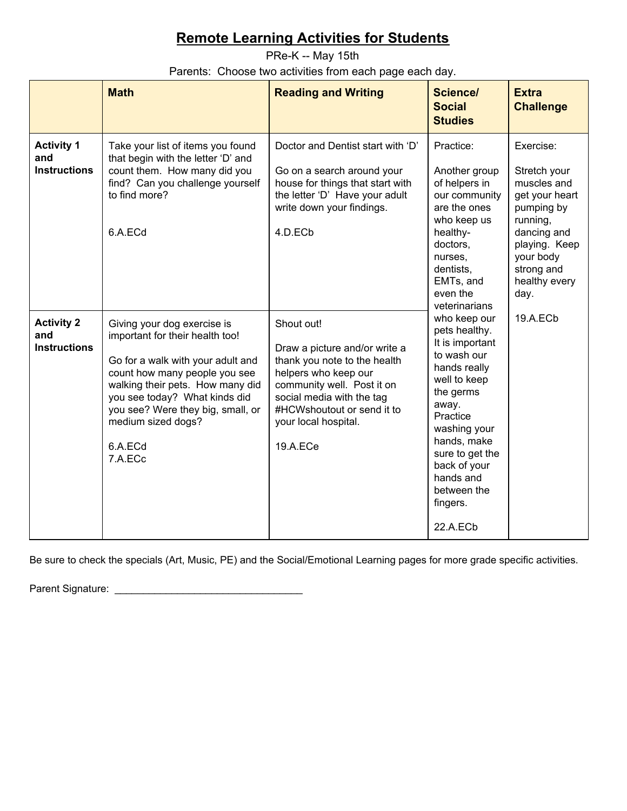<span id="page-7-0"></span>PRe-K -- May 15th

Parents: Choose two activities from each page each day.

|                                                 | <b>Math</b>                                                                                                                                                                                                                                                                                | <b>Reading and Writing</b>                                                                                                                                                                                                       | <b>Science/</b><br><b>Social</b><br><b>Studies</b>                                                                                                                                                                                                      | <b>Extra</b><br><b>Challenge</b> |               |  |  |  |  |  |  |  |  |  |  |  |  |                                                                                                                                                                          |
|-------------------------------------------------|--------------------------------------------------------------------------------------------------------------------------------------------------------------------------------------------------------------------------------------------------------------------------------------------|----------------------------------------------------------------------------------------------------------------------------------------------------------------------------------------------------------------------------------|---------------------------------------------------------------------------------------------------------------------------------------------------------------------------------------------------------------------------------------------------------|----------------------------------|---------------|--|--|--|--|--|--|--|--|--|--|--|--|--------------------------------------------------------------------------------------------------------------------------------------------------------------------------|
| <b>Activity 1</b><br>and<br><b>Instructions</b> | Take your list of items you found<br>that begin with the letter 'D' and<br>count them. How many did you<br>find? Can you challenge yourself<br>to find more?<br>6.A.ECd                                                                                                                    | Doctor and Dentist start with 'D'<br>Go on a search around your<br>house for things that start with<br>the letter 'D' Have your adult<br>write down your findings.<br>4.D.ECb                                                    | Practice:<br>Another group<br>of helpers in<br>our community<br>are the ones<br>who keep us<br>healthy-<br>doctors.<br>nurses,<br>dentists,<br>EMTs, and<br>even the                                                                                    |                                  | veterinarians |  |  |  |  |  |  |  |  |  |  |  |  | Exercise:<br>Stretch your<br>muscles and<br>get your heart<br>pumping by<br>running,<br>dancing and<br>playing. Keep<br>your body<br>strong and<br>healthy every<br>day. |
| <b>Activity 2</b><br>and<br><b>Instructions</b> | Giving your dog exercise is<br>important for their health too!<br>Go for a walk with your adult and<br>count how many people you see<br>walking their pets. How many did<br>you see today? What kinds did<br>you see? Were they big, small, or<br>medium sized dogs?<br>6.A.ECd<br>7.A.ECc | Shout out!<br>Draw a picture and/or write a<br>thank you note to the health<br>helpers who keep our<br>community well. Post it on<br>social media with the tag<br>#HCWshoutout or send it to<br>your local hospital.<br>19.A.ECe | who keep our<br>pets healthy.<br>It is important<br>to wash our<br>hands really<br>well to keep<br>the germs<br>away.<br>Practice<br>washing your<br>hands, make<br>sure to get the<br>back of your<br>hands and<br>between the<br>fingers.<br>22.A.ECb | 19.A.ECb                         |               |  |  |  |  |  |  |  |  |  |  |  |  |                                                                                                                                                                          |

Be sure to check the specials (Art, Music, PE) and the Social/Emotional Learning pages for more grade specific activities.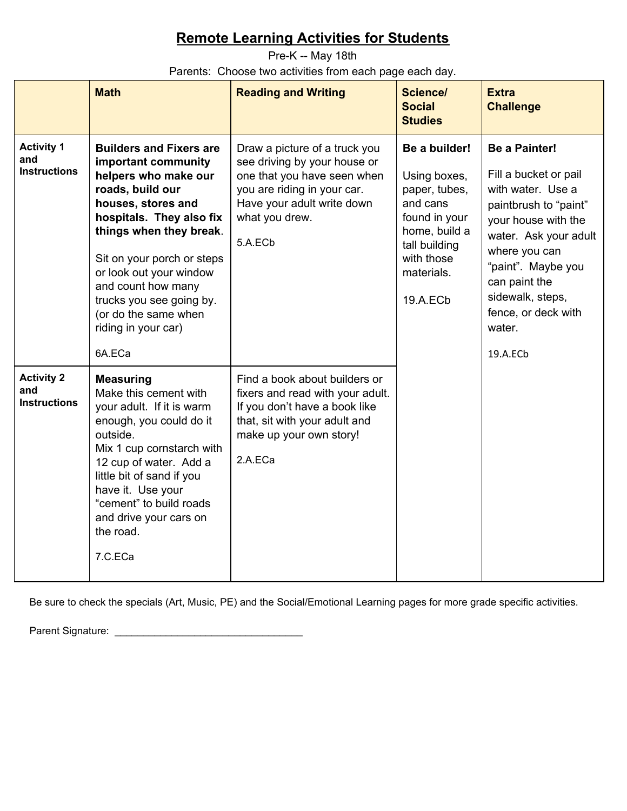<span id="page-8-0"></span>Pre-K -- May 18th Parents: Choose two activities from each page each day.

|                                                 | <b>Math</b>                                                                                                                                                                                                                                                                                                                                        | <b>Reading and Writing</b>                                                                                                                                                                                                                                              | <b>Science/</b><br><b>Social</b><br><b>Studies</b>                               | <b>Extra</b><br><b>Challenge</b>                                                                                                                                                                                                                                     |
|-------------------------------------------------|----------------------------------------------------------------------------------------------------------------------------------------------------------------------------------------------------------------------------------------------------------------------------------------------------------------------------------------------------|-------------------------------------------------------------------------------------------------------------------------------------------------------------------------------------------------------------------------------------------------------------------------|----------------------------------------------------------------------------------|----------------------------------------------------------------------------------------------------------------------------------------------------------------------------------------------------------------------------------------------------------------------|
| <b>Activity 1</b><br>and<br><b>Instructions</b> | <b>Builders and Fixers are</b><br>important community<br>helpers who make our<br>roads, build our<br>houses, stores and<br>hospitals. They also fix<br>things when they break.<br>Sit on your porch or steps<br>or look out your window<br>and count how many<br>trucks you see going by.<br>(or do the same when<br>riding in your car)<br>6A.ECa | Draw a picture of a truck you<br>see driving by your house or<br>one that you have seen when<br>you are riding in your car.<br>Have your adult write down<br>and cans<br>what you drew.<br>5.A.ECb<br>tall building<br>with those<br>materials.<br>19.A.EC <sub>b</sub> | Be a builder!<br>Using boxes,<br>paper, tubes,<br>found in your<br>home, build a | <b>Be a Painter!</b><br>Fill a bucket or pail<br>with water. Use a<br>paintbrush to "paint"<br>your house with the<br>water. Ask your adult<br>where you can<br>"paint". Maybe you<br>can paint the<br>sidewalk, steps,<br>fence, or deck with<br>water.<br>19.A.ECb |
| <b>Activity 2</b><br>and<br><b>Instructions</b> | <b>Measuring</b><br>Make this cement with<br>your adult. If it is warm<br>enough, you could do it<br>outside.<br>Mix 1 cup cornstarch with<br>12 cup of water. Add a<br>little bit of sand if you<br>have it. Use your<br>"cement" to build roads<br>and drive your cars on<br>the road.<br>7.C.ECa                                                | Find a book about builders or<br>fixers and read with your adult.<br>If you don't have a book like<br>that, sit with your adult and<br>make up your own story!<br>2.A.ECa                                                                                               |                                                                                  |                                                                                                                                                                                                                                                                      |

Be sure to check the specials (Art, Music, PE) and the Social/Emotional Learning pages for more grade specific activities.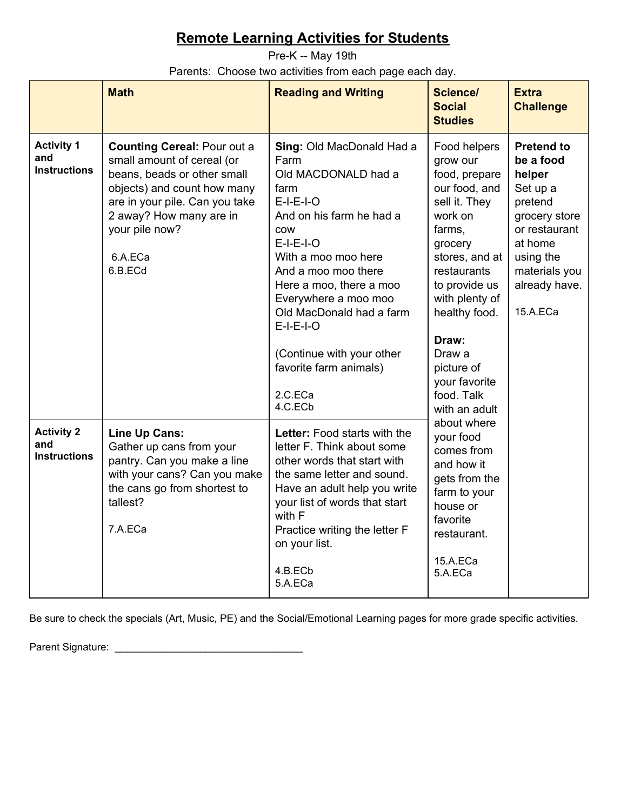<span id="page-9-0"></span>Pre-K -- May 19th Parents: Choose two activities from each page each day.

|                                                 | <b>Math</b>                                                                                                                                                                                                                         | <b>Reading and Writing</b>                                                                                                                                                                                                                                                                                                                                        | <b>Science/</b><br><b>Social</b><br><b>Studies</b>                                                                                                                                                                                                                                | <b>Extra</b><br><b>Challenge</b>                                                                                                                                        |
|-------------------------------------------------|-------------------------------------------------------------------------------------------------------------------------------------------------------------------------------------------------------------------------------------|-------------------------------------------------------------------------------------------------------------------------------------------------------------------------------------------------------------------------------------------------------------------------------------------------------------------------------------------------------------------|-----------------------------------------------------------------------------------------------------------------------------------------------------------------------------------------------------------------------------------------------------------------------------------|-------------------------------------------------------------------------------------------------------------------------------------------------------------------------|
| <b>Activity 1</b><br>and<br><b>Instructions</b> | <b>Counting Cereal: Pour out a</b><br>small amount of cereal (or<br>beans, beads or other small<br>objects) and count how many<br>are in your pile. Can you take<br>2 away? How many are in<br>your pile now?<br>6.A.ECa<br>6.B.ECd | Sing: Old MacDonald Had a<br>Farm<br>Old MACDONALD had a<br>farm<br>$E-I-E-I-O$<br>And on his farm he had a<br><b>COW</b><br>$E-I-E-I-O$<br>With a moo moo here<br>And a moo moo there<br>Here a moo, there a moo<br>Everywhere a moo moo<br>Old MacDonald had a farm<br>$E-I-E-I-O$<br>(Continue with your other<br>favorite farm animals)<br>2.C.ECa<br>4.C.ECb | Food helpers<br>grow our<br>food, prepare<br>our food, and<br>sell it. They<br>work on<br>farms,<br>grocery<br>stores, and at<br>restaurants<br>to provide us<br>with plenty of<br>healthy food.<br>Draw:<br>Draw a<br>picture of<br>your favorite<br>food. Talk<br>with an adult | <b>Pretend to</b><br>be a food<br>helper<br>Set up a<br>pretend<br>grocery store<br>or restaurant<br>at home<br>using the<br>materials you<br>already have.<br>15.A.ECa |
| <b>Activity 2</b><br>and<br><b>Instructions</b> | Line Up Cans:<br>Gather up cans from your<br>pantry. Can you make a line<br>with your cans? Can you make<br>the cans go from shortest to<br>tallest?<br>7.A.ECa                                                                     | Letter: Food starts with the<br>letter F. Think about some<br>other words that start with<br>the same letter and sound.<br>Have an adult help you write<br>your list of words that start<br>with F<br>Practice writing the letter F<br>on your list.<br>4.B.ECb<br>5.A.ECa                                                                                        | about where<br>your food<br>comes from<br>and how it<br>gets from the<br>farm to your<br>house or<br>favorite<br>restaurant.<br>15.A.ECa<br>5.A.ECa                                                                                                                               |                                                                                                                                                                         |

Be sure to check the specials (Art, Music, PE) and the Social/Emotional Learning pages for more grade specific activities.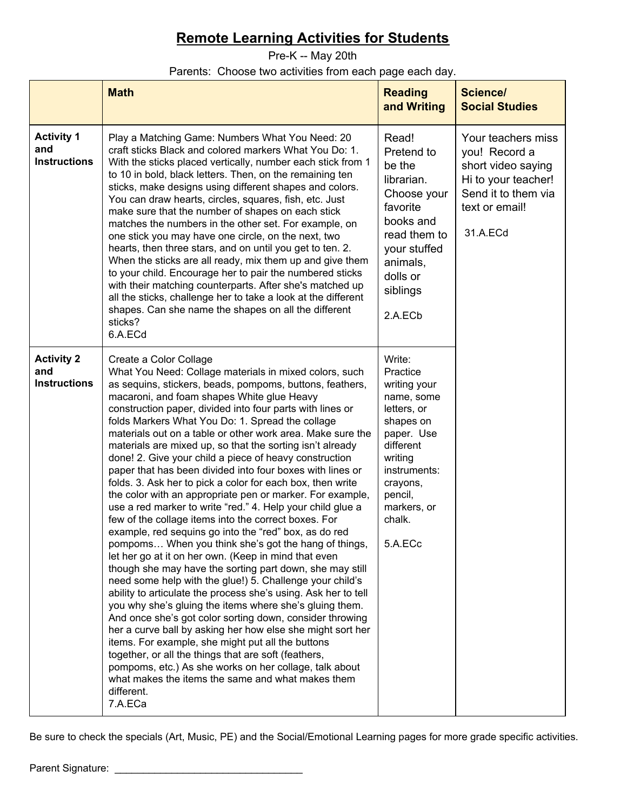<span id="page-10-0"></span>Pre-K -- May 20th

#### Parents: Choose two activities from each page each day.

|                                                 | <b>Math</b>                                                                                                                                                                                                                                                                                                                                                                                                                                                                                                                                                                                                                                                                                                                                                                                                                                                                                                                                                                                                                                                                                                                                                                                                                                                                                                                                                                                                                                                                                                                                                                                                                 | <b>Reading</b><br>and Writing                                                                                                                                                                 | <b>Science/</b><br><b>Social Studies</b>                                                                                              |  |
|-------------------------------------------------|-----------------------------------------------------------------------------------------------------------------------------------------------------------------------------------------------------------------------------------------------------------------------------------------------------------------------------------------------------------------------------------------------------------------------------------------------------------------------------------------------------------------------------------------------------------------------------------------------------------------------------------------------------------------------------------------------------------------------------------------------------------------------------------------------------------------------------------------------------------------------------------------------------------------------------------------------------------------------------------------------------------------------------------------------------------------------------------------------------------------------------------------------------------------------------------------------------------------------------------------------------------------------------------------------------------------------------------------------------------------------------------------------------------------------------------------------------------------------------------------------------------------------------------------------------------------------------------------------------------------------------|-----------------------------------------------------------------------------------------------------------------------------------------------------------------------------------------------|---------------------------------------------------------------------------------------------------------------------------------------|--|
| <b>Activity 1</b><br>and<br><b>Instructions</b> | Play a Matching Game: Numbers What You Need: 20<br>craft sticks Black and colored markers What You Do: 1.<br>With the sticks placed vertically, number each stick from 1<br>to 10 in bold, black letters. Then, on the remaining ten<br>sticks, make designs using different shapes and colors.<br>You can draw hearts, circles, squares, fish, etc. Just<br>make sure that the number of shapes on each stick<br>matches the numbers in the other set. For example, on<br>one stick you may have one circle, on the next, two<br>hearts, then three stars, and on until you get to ten. 2.<br>When the sticks are all ready, mix them up and give them<br>to your child. Encourage her to pair the numbered sticks<br>with their matching counterparts. After she's matched up<br>all the sticks, challenge her to take a look at the different<br>shapes. Can she name the shapes on all the different<br>sticks?<br>6.A.ECd                                                                                                                                                                                                                                                                                                                                                                                                                                                                                                                                                                                                                                                                                              | Read!<br>Pretend to<br>be the<br>librarian.<br>Choose your<br>favorite<br>books and<br>read them to<br>your stuffed<br>animals,<br>dolls or<br>siblings<br>2.A.ECb                            | Your teachers miss<br>you! Record a<br>short video saying<br>Hi to your teacher!<br>Send it to them via<br>text or email!<br>31.A.ECd |  |
| <b>Activity 2</b><br>and<br><b>Instructions</b> | Create a Color Collage<br>What You Need: Collage materials in mixed colors, such<br>as sequins, stickers, beads, pompoms, buttons, feathers,<br>macaroni, and foam shapes White glue Heavy<br>construction paper, divided into four parts with lines or<br>folds Markers What You Do: 1. Spread the collage<br>materials out on a table or other work area. Make sure the<br>materials are mixed up, so that the sorting isn't already<br>done! 2. Give your child a piece of heavy construction<br>paper that has been divided into four boxes with lines or<br>folds. 3. Ask her to pick a color for each box, then write<br>the color with an appropriate pen or marker. For example,<br>use a red marker to write "red." 4. Help your child glue a<br>few of the collage items into the correct boxes. For<br>example, red sequins go into the "red" box, as do red<br>pompoms When you think she's got the hang of things,<br>let her go at it on her own. (Keep in mind that even<br>though she may have the sorting part down, she may still<br>need some help with the glue!) 5. Challenge your child's<br>ability to articulate the process she's using. Ask her to tell<br>you why she's gluing the items where she's gluing them.<br>And once she's got color sorting down, consider throwing<br>her a curve ball by asking her how else she might sort her<br>items. For example, she might put all the buttons<br>together, or all the things that are soft (feathers,<br>pompoms, etc.) As she works on her collage, talk about<br>what makes the items the same and what makes them<br>different.<br>7.A.ECa | Write:<br>Practice<br>writing your<br>name, some<br>letters, or<br>shapes on<br>paper. Use<br>different<br>writing<br>instruments:<br>crayons,<br>pencil,<br>markers, or<br>chalk.<br>5.A.ECc |                                                                                                                                       |  |

Be sure to check the specials (Art, Music, PE) and the Social/Emotional Learning pages for more grade specific activities.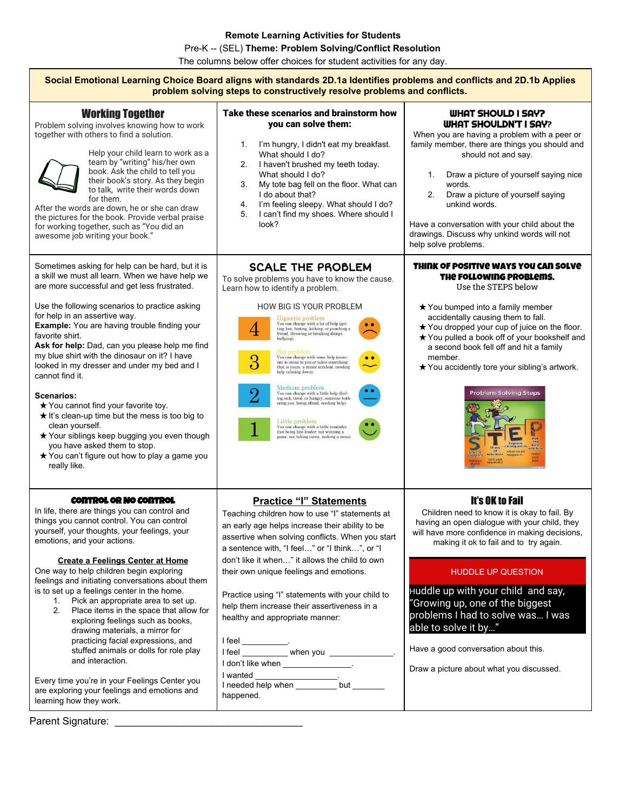Pre-K -- (SEL) **Theme: Problem Solving/Conflict Resolution**

The columns below offer choices for student activities for any day.

| Social Emotional Learning Choice Board aligns with standards 2D.1a Identifies problems and conflicts and 2D.1b Applies<br>problem solving steps to constructively resolve problems and conflicts.                                                                                                                                                                                                                                                                                                                                                                                                                                                                                                                                                                                                          |                                                                                                                                                                                                                                                                                                                                                                                                                                                                                                                                                                                                                                                                                                                                                                                                                                                                                                                    |                                                                                                                                                                                                                                                                                                                                                                                                                                                                            |  |  |
|------------------------------------------------------------------------------------------------------------------------------------------------------------------------------------------------------------------------------------------------------------------------------------------------------------------------------------------------------------------------------------------------------------------------------------------------------------------------------------------------------------------------------------------------------------------------------------------------------------------------------------------------------------------------------------------------------------------------------------------------------------------------------------------------------------|--------------------------------------------------------------------------------------------------------------------------------------------------------------------------------------------------------------------------------------------------------------------------------------------------------------------------------------------------------------------------------------------------------------------------------------------------------------------------------------------------------------------------------------------------------------------------------------------------------------------------------------------------------------------------------------------------------------------------------------------------------------------------------------------------------------------------------------------------------------------------------------------------------------------|----------------------------------------------------------------------------------------------------------------------------------------------------------------------------------------------------------------------------------------------------------------------------------------------------------------------------------------------------------------------------------------------------------------------------------------------------------------------------|--|--|
| <b>Working Together</b><br>Problem solving involves knowing how to work<br>together with others to find a solution.<br>Help your child learn to work as a<br>team by "writing" his/her own<br>book. Ask the child to tell you<br>their book's story. As they begin<br>to talk, write their words down<br>for them.<br>After the words are down, he or she can draw<br>the pictures for the book. Provide verbal praise<br>for working together, such as "You did an<br>awesome job writing your book."                                                                                                                                                                                                                                                                                                     | Take these scenarios and brainstorm how<br>you can solve them:<br>I'm hungry, I didn't eat my breakfast.<br>1.<br>What should I do?<br>I haven't brushed my teeth today.<br>2.<br>What should I do?<br>My tote bag fell on the floor. What can<br>3.<br>I do about that?<br>I'm feeling sleepy. What should I do?<br>4.<br>I can't find my shoes. Where should I<br>5.<br>look?                                                                                                                                                                                                                                                                                                                                                                                                                                                                                                                                    | <b>WHAT SHOULD I SAY?</b><br><b>WHAT SHOULDN'T I SAY?</b><br>When you are having a problem with a peer or<br>family member, there are things you should and<br>should not and say.<br>Draw a picture of yourself saying nice<br>1.<br>words.<br>2.<br>Draw a picture of yourself saying<br>unkind words.<br>Have a conversation with your child about the<br>drawings. Discuss why unkind words will not<br>help solve problems.                                           |  |  |
| Sometimes asking for help can be hard, but it is<br>a skill we must all learn. When we have help we<br>are more successful and get less frustrated.<br>Use the following scenarios to practice asking<br>for help in an assertive way.<br><b>Example:</b> You are having trouble finding your<br>favorite shirt.<br>Ask for help: Dad, can you please help me find<br>my blue shirt with the dinosaur on it? I have<br>looked in my dresser and under my bed and I<br>cannot find it.<br><b>Scenarios:</b><br>★ You cannot find your favorite toy.<br>★ It's clean-up time but the mess is too big to<br>clean yourself.<br>★ Your siblings keep bugging you even though<br>you have asked them to stop.<br>★ You can't figure out how to play a game you<br>really like.                                  | <b>SCALE THE PROBLEM</b><br>To solve problems you have to know the cause.<br>Learn how to identify a problem.<br><b>HOW BIG IS YOUR PROBLEM</b><br>Gigantic problem<br>You can change with a lot of help (get-<br>$\bullet\bullet$<br>4<br>ting lost, hitting, kicking, or punching a<br>friend, throwing or breaking things.<br>bullying).<br>Big problem<br>$3\overline{)}$<br>You can change with some help (some<br>one is mean to you or takes something<br>that is yours, a minor accident, needing<br>help calming down).<br>Medium problem<br>$\rm{2}$<br>$\label{eq:You} \begin{array}{ll} \textbf{You can change with a little help (feel-} \\ \textbf{ing sick, tired, or hungry, someone both-} \end{array}$<br>ering you, being afraid, needing help).<br>Little problem<br>You can change with a little reminder<br>(not being line leader, not winning a<br>game, not taking turns, making a mess). | THINK OF POSITIVE WAYS YOU CAN SOLVE<br>THE FOLLOWING PROBLEMS.<br>Use the STEPS below<br>★ You bumped into a family member<br>accidentally causing them to fall.<br>★ You dropped your cup of juice on the floor.<br>★ You pulled a book off of your bookshelf and<br>a second book fell off and hit a family<br>member.<br>★ You accidently tore your sibling's artwork.<br><b>Problem-Solving Steps</b><br>what could                                                   |  |  |
| <b>CONTROL OR NO CONTROL</b><br>In life, there are things you can control and<br>things you cannot control. You can control<br>yourself, your thoughts, your feelings, your<br>emotions, and your actions.<br><b>Create a Feelings Center at Home</b><br>One way to help children begin exploring<br>feelings and initiating conversations about them<br>is to set up a feelings center in the home.<br>Pick an appropriate area to set up.<br>1.<br>Place items in the space that allow for<br>2.<br>exploring feelings such as books,<br>drawing materials, a mirror for<br>practicing facial expressions, and<br>stuffed animals or dolls for role play<br>and interaction.<br>Every time you're in your Feelings Center you<br>are exploring your feelings and emotions and<br>learning how they work. | <b>Practice "I" Statements</b><br>Teaching children how to use "I" statements at<br>an early age helps increase their ability to be<br>assertive when solving conflicts. When you start<br>a sentence with, "I feel" or "I think", or "I<br>don't like it when" it allows the child to own<br>their own unique feelings and emotions.<br>Practice using "I" statements with your child to<br>help them increase their assertiveness in a<br>healthy and appropriate manner:<br>1 feel _____________<br>1 feel ___________ when you ____________________<br>I don't like when ______________________<br>happened.                                                                                                                                                                                                                                                                                                   | <b>It's OK to Fail</b><br>Children need to know it is okay to fail. By<br>having an open dialogue with your child, they<br>will have more confidence in making decisions,<br>making it ok to fail and to try again.<br><b>HUDDLE UP QUESTION</b><br>Huddle up with your child and say,<br>"Growing up, one of the biggest<br>problems I had to solve was I was<br>able to solve it by"<br>Have a good conversation about this.<br>Draw a picture about what you discussed. |  |  |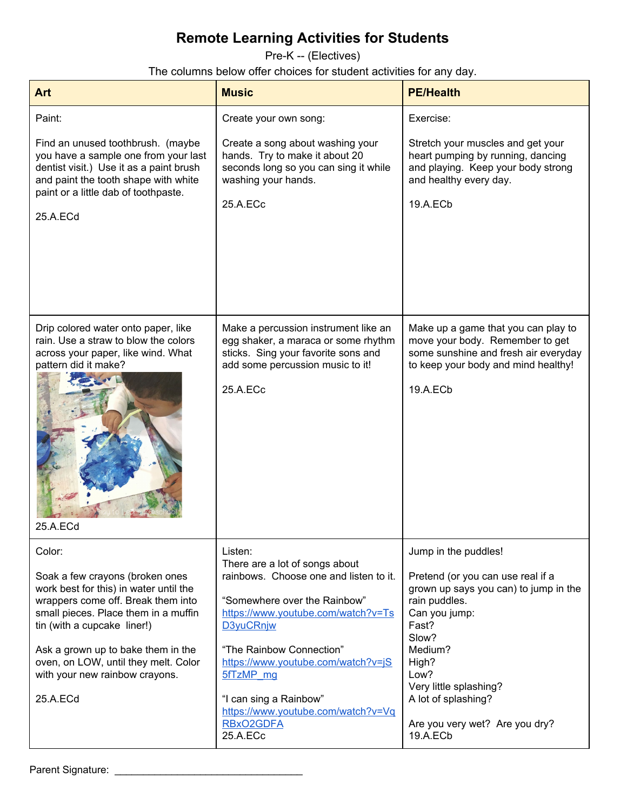<span id="page-12-0"></span>Pre-K -- (Electives)

The columns below offer choices for student activities for any day.

| <b>Art</b>                                                                                                                                                                                                                                                                                                                   | <b>Music</b>                                                                                                                                                                                                                                                                                                                                   | <b>PE/Health</b>                                                                                                                                                                                                                                                                  |
|------------------------------------------------------------------------------------------------------------------------------------------------------------------------------------------------------------------------------------------------------------------------------------------------------------------------------|------------------------------------------------------------------------------------------------------------------------------------------------------------------------------------------------------------------------------------------------------------------------------------------------------------------------------------------------|-----------------------------------------------------------------------------------------------------------------------------------------------------------------------------------------------------------------------------------------------------------------------------------|
| Paint:<br>Find an unused toothbrush. (maybe<br>you have a sample one from your last<br>dentist visit.) Use it as a paint brush<br>and paint the tooth shape with white<br>paint or a little dab of toothpaste.<br>25.A.ECd                                                                                                   | Create your own song:<br>Create a song about washing your<br>hands. Try to make it about 20<br>seconds long so you can sing it while<br>washing your hands.<br>25.A.ECc                                                                                                                                                                        | Exercise:<br>Stretch your muscles and get your<br>heart pumping by running, dancing<br>and playing. Keep your body strong<br>and healthy every day.<br>19.A.ECb                                                                                                                   |
| Drip colored water onto paper, like<br>rain. Use a straw to blow the colors<br>across your paper, like wind. What<br>pattern did it make?<br>25.A.ECd                                                                                                                                                                        | Make a percussion instrument like an<br>egg shaker, a maraca or some rhythm<br>sticks. Sing your favorite sons and<br>add some percussion music to it!<br>25.A.ECc                                                                                                                                                                             | Make up a game that you can play to<br>move your body. Remember to get<br>some sunshine and fresh air everyday<br>to keep your body and mind healthy!<br>19.A.ECb                                                                                                                 |
| Color:<br>Soak a few crayons (broken ones<br>work best for this) in water until the<br>wrappers come off. Break them into<br>small pieces. Place them in a muffin<br>tin (with a cupcake liner!)<br>Ask a grown up to bake them in the<br>oven, on LOW, until they melt. Color<br>with your new rainbow crayons.<br>25.A.ECd | Listen:<br>There are a lot of songs about<br>rainbows. Choose one and listen to it.<br>"Somewhere over the Rainbow"<br>https://www.youtube.com/watch?v=Ts<br>D3yuCRnjw<br>"The Rainbow Connection"<br>https://www.youtube.com/watch?v=jS<br>5fTzMP mg<br>"I can sing a Rainbow"<br>https://www.youtube.com/watch?v=Vq<br>RBxO2GDFA<br>25.A.ECc | Jump in the puddles!<br>Pretend (or you can use real if a<br>grown up says you can) to jump in the<br>rain puddles.<br>Can you jump:<br>Fast?<br>Slow?<br>Medium?<br>High?<br>Low?<br>Very little splashing?<br>A lot of splashing?<br>Are you very wet? Are you dry?<br>19.A.ECb |